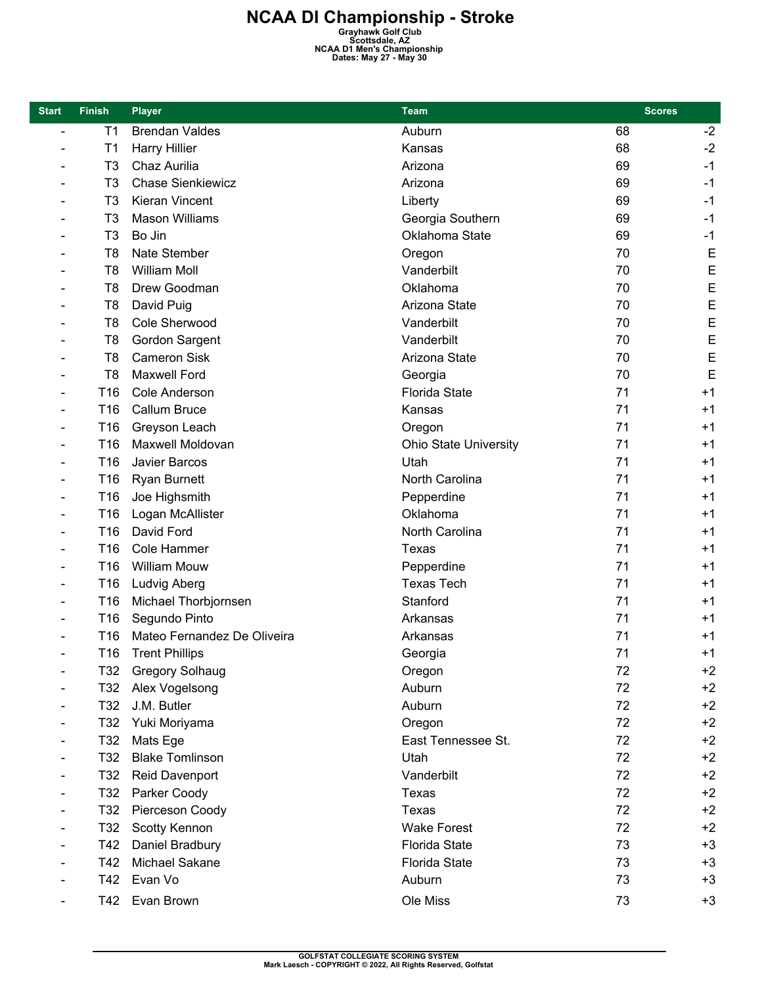| <b>Start</b>   | <b>Finish</b>   | <b>Player</b>               | <b>Team</b>                  | <b>Scores</b> |      |
|----------------|-----------------|-----------------------------|------------------------------|---------------|------|
| $\blacksquare$ | T <sub>1</sub>  | <b>Brendan Valdes</b>       | Auburn                       | 68            | $-2$ |
|                | T1              | <b>Harry Hillier</b>        | Kansas                       | 68            | $-2$ |
|                | T <sub>3</sub>  | Chaz Aurilia                | Arizona                      | 69            | $-1$ |
|                | T3              | <b>Chase Sienkiewicz</b>    | Arizona                      | 69            | $-1$ |
|                | T <sub>3</sub>  | Kieran Vincent              | Liberty                      | 69            | $-1$ |
|                | T <sub>3</sub>  | <b>Mason Williams</b>       | Georgia Southern             | 69            | $-1$ |
|                | T3              | Bo Jin                      | Oklahoma State               | 69            | $-1$ |
|                | T <sub>8</sub>  | Nate Stember                | Oregon                       | 70            | E    |
|                | T <sub>8</sub>  | <b>William Moll</b>         | Vanderbilt                   | 70            | E    |
|                | T8              | Drew Goodman                | Oklahoma                     | 70            | E    |
|                | T <sub>8</sub>  | David Puig                  | Arizona State                | 70            | E    |
|                | T <sub>8</sub>  | Cole Sherwood               | Vanderbilt                   | 70            | E    |
|                | T8              | Gordon Sargent              | Vanderbilt                   | 70            | E    |
|                | T <sub>8</sub>  | <b>Cameron Sisk</b>         | Arizona State                | 70            | E    |
|                | T <sub>8</sub>  | <b>Maxwell Ford</b>         | Georgia                      | 70            | E    |
|                | T <sub>16</sub> | Cole Anderson               | <b>Florida State</b>         | 71            | $+1$ |
|                | T16             | Callum Bruce                | Kansas                       | 71            | $+1$ |
|                | T16             | Greyson Leach               | Oregon                       | 71            | $+1$ |
|                | T <sub>16</sub> | Maxwell Moldovan            | <b>Ohio State University</b> | 71            | $+1$ |
|                | T16             | Javier Barcos               | Utah                         | 71            | $+1$ |
|                | T16             | <b>Ryan Burnett</b>         | North Carolina               | 71            | $+1$ |
|                | T16             | Joe Highsmith               | Pepperdine                   | 71            | $+1$ |
|                | T16             | Logan McAllister            | Oklahoma                     | 71            | $+1$ |
|                | T16             | David Ford                  | North Carolina               | 71            | $+1$ |
|                | T16             | Cole Hammer                 | Texas                        | 71            | $+1$ |
|                | T16             | <b>William Mouw</b>         | Pepperdine                   | 71            | $+1$ |
|                | T16             | <b>Ludvig Aberg</b>         | <b>Texas Tech</b>            | 71            | $+1$ |
|                | T <sub>16</sub> | Michael Thorbjornsen        | Stanford                     | 71            | $+1$ |
|                | T16             | Segundo Pinto               | Arkansas                     | 71            | $+1$ |
|                | T <sub>16</sub> | Mateo Fernandez De Oliveira | Arkansas                     | 71            | $+1$ |
|                | T16             | <b>Trent Phillips</b>       | Georgia                      | 71            | $+1$ |
|                | T32             | <b>Gregory Solhaug</b>      | Oregon                       | 72            | $+2$ |
|                | T32             | Alex Vogelsong              | Auburn                       | 72            | $+2$ |
|                | T32             | J.M. Butler                 | Auburn                       | 72            | $+2$ |
|                | T32             | Yuki Moriyama               | Oregon                       | 72            | $+2$ |
|                | T32             | Mats Ege                    | East Tennessee St.           | 72            | $+2$ |
|                | T32             | <b>Blake Tomlinson</b>      | Utah                         | 72            | $+2$ |
|                | T32             | Reid Davenport              | Vanderbilt                   | 72            | $+2$ |
|                | T32             | Parker Coody                | <b>Texas</b>                 | 72            | $+2$ |
|                | T32             | Pierceson Coody             | Texas                        | 72            | $+2$ |
|                | T32             | Scotty Kennon               | <b>Wake Forest</b>           | 72            | $+2$ |
|                | T42             | Daniel Bradbury             | <b>Florida State</b>         | 73            | $+3$ |
|                | T42             | Michael Sakane              | <b>Florida State</b>         | 73            | $+3$ |
|                | T42             | Evan Vo                     | Auburn                       | 73            | $+3$ |
|                | T42             | Evan Brown                  | Ole Miss                     | 73            | $+3$ |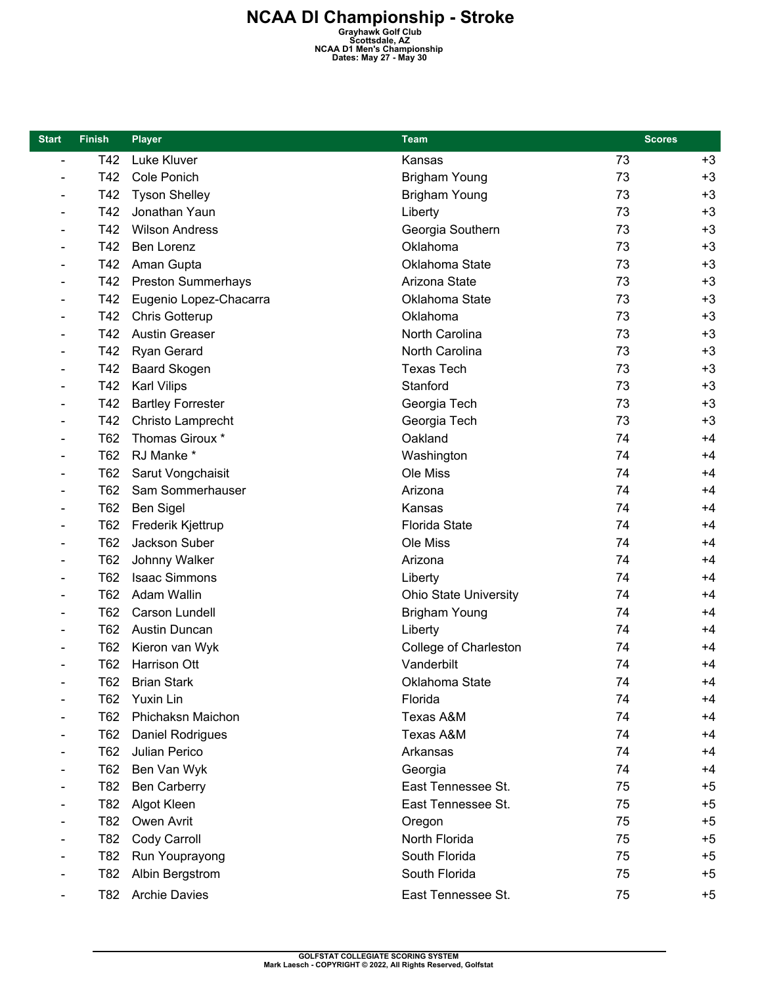| <b>Start</b>                 | <b>Finish</b> | <b>Player</b>             | <b>Team</b>                  | <b>Scores</b> |      |
|------------------------------|---------------|---------------------------|------------------------------|---------------|------|
| $\overline{\phantom{a}}$     | T42           | Luke Kluver               | Kansas                       | 73            | $+3$ |
|                              | T42           | Cole Ponich               | <b>Brigham Young</b>         | 73            | $+3$ |
|                              | T42           | <b>Tyson Shelley</b>      | <b>Brigham Young</b>         | 73            | $+3$ |
| $\qquad \qquad \blacksquare$ | T42           | Jonathan Yaun             | Liberty                      | 73            | $+3$ |
|                              | T42           | <b>Wilson Andress</b>     | Georgia Southern             | 73            | $+3$ |
|                              | T42           | Ben Lorenz                | Oklahoma                     | 73            | $+3$ |
|                              | T42           | Aman Gupta                | Oklahoma State               | 73            | $+3$ |
|                              | T42           | <b>Preston Summerhays</b> | Arizona State                | 73            | $+3$ |
|                              | T42           | Eugenio Lopez-Chacarra    | Oklahoma State               | 73            | $+3$ |
|                              | T42           | Chris Gotterup            | Oklahoma                     | 73            | $+3$ |
|                              | T42           | <b>Austin Greaser</b>     | North Carolina               | 73            | $+3$ |
| $\blacksquare$               | T42           | Ryan Gerard               | North Carolina               | 73            | $+3$ |
|                              | T42           | <b>Baard Skogen</b>       | <b>Texas Tech</b>            | 73            | $+3$ |
|                              | T42           | <b>Karl Vilips</b>        | Stanford                     | 73            | $+3$ |
|                              | T42           | <b>Bartley Forrester</b>  | Georgia Tech                 | 73            | $+3$ |
|                              | T42           | Christo Lamprecht         | Georgia Tech                 | 73            | $+3$ |
| $\qquad \qquad \blacksquare$ | T62           | Thomas Giroux *           | Oakland                      | 74            | $+4$ |
| $\blacksquare$               | T62           | RJ Manke *                | Washington                   | 74            | $+4$ |
|                              | T62           | Sarut Vongchaisit         | Ole Miss                     | 74            | $+4$ |
|                              | T62           | Sam Sommerhauser          | Arizona                      | 74            | $+4$ |
|                              | T62           | Ben Sigel                 | Kansas                       | 74            | $+4$ |
|                              | T62           | Frederik Kjettrup         | <b>Florida State</b>         | 74            | $+4$ |
| $\qquad \qquad \blacksquare$ | T62           | Jackson Suber             | Ole Miss                     | 74            | $+4$ |
| $\blacksquare$               | T62           | Johnny Walker             | Arizona                      | 74            | $+4$ |
|                              | T62           | <b>Isaac Simmons</b>      | Liberty                      | 74            | $+4$ |
|                              | T62           | Adam Wallin               | <b>Ohio State University</b> | 74            | $+4$ |
|                              | T62           | <b>Carson Lundell</b>     | <b>Brigham Young</b>         | 74            | $+4$ |
|                              | T62           | <b>Austin Duncan</b>      | Liberty                      | 74            | $+4$ |
|                              | T62           | Kieron van Wyk            | College of Charleston        | 74            | $+4$ |
|                              | T62           | Harrison Ott              | Vanderbilt                   | 74            | $+4$ |
|                              | T62           | <b>Brian Stark</b>        | Oklahoma State               | 74            | +4   |
|                              | T62           | Yuxin Lin                 | Florida                      | 74            | $+4$ |
|                              | T62           | Phichaksn Maichon         | Texas A&M                    | 74            | $+4$ |
|                              | T62           | Daniel Rodrigues          | Texas A&M                    | 74            | $+4$ |
|                              | T62           | Julian Perico             | Arkansas                     | 74            | $+4$ |
|                              | T62           | Ben Van Wyk               | Georgia                      | 74            | +4   |
|                              | T82           | <b>Ben Carberry</b>       | East Tennessee St.           | 75            | $+5$ |
|                              | T82           | Algot Kleen               | East Tennessee St.           | 75            | $+5$ |
|                              | T82           | Owen Avrit                | Oregon                       | 75            | $+5$ |
|                              | T82           | Cody Carroll              | North Florida                | 75            | $+5$ |
|                              | T82           | Run Youprayong            | South Florida                | 75            | $+5$ |
|                              | T82           | Albin Bergstrom           | South Florida                | 75            | $+5$ |
|                              | T82           | <b>Archie Davies</b>      | East Tennessee St.           | 75            | +5   |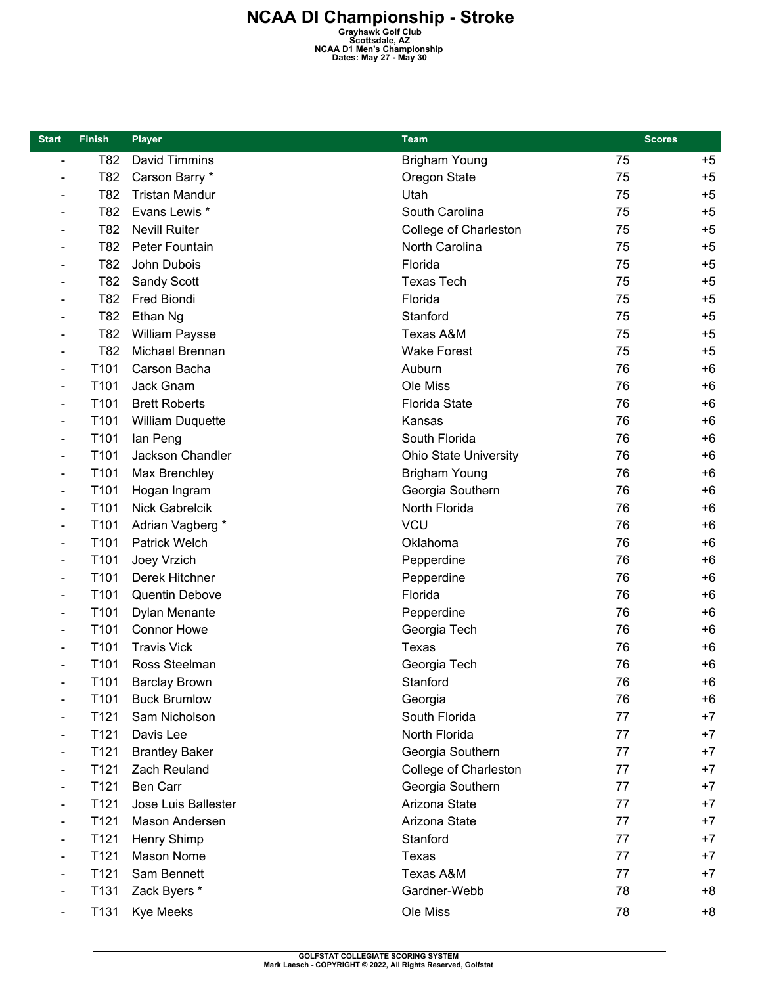| <b>Start</b>                 | <b>Finish</b>    | Player                  | <b>Team</b>                  | <b>Scores</b> |      |
|------------------------------|------------------|-------------------------|------------------------------|---------------|------|
| $\overline{\phantom{a}}$     | T82              | David Timmins           | <b>Brigham Young</b>         | 75            | $+5$ |
| $\blacksquare$               | T82              | Carson Barry *          | Oregon State                 | 75            | $+5$ |
| $\qquad \qquad \blacksquare$ | T82              | <b>Tristan Mandur</b>   | Utah                         | 75            | $+5$ |
| $\overline{\phantom{0}}$     | T82              | Evans Lewis *           | South Carolina               | 75            | $+5$ |
| $\qquad \qquad \blacksquare$ | T82              | <b>Nevill Ruiter</b>    | College of Charleston        | 75            | $+5$ |
| $\overline{\phantom{0}}$     | T82              | Peter Fountain          | North Carolina               | 75            | $+5$ |
| $\overline{\phantom{0}}$     | T82              | John Dubois             | Florida                      | 75            | $+5$ |
| $\qquad \qquad \blacksquare$ | T82              | <b>Sandy Scott</b>      | <b>Texas Tech</b>            | 75            | $+5$ |
|                              | T82              | Fred Biondi             | Florida                      | 75            | $+5$ |
| $\qquad \qquad$              | T82              | Ethan Ng                | Stanford                     | 75            | $+5$ |
| $\overline{\phantom{0}}$     | T82              | <b>William Paysse</b>   | Texas A&M                    | 75            | $+5$ |
| $\qquad \qquad \blacksquare$ | T82              | Michael Brennan         | <b>Wake Forest</b>           | 75            | $+5$ |
| $\qquad \qquad \blacksquare$ | T101             | Carson Bacha            | Auburn                       | 76            | $+6$ |
| $\qquad \qquad \blacksquare$ | T101             | Jack Gnam               | Ole Miss                     | 76            | $+6$ |
| $\qquad \qquad \blacksquare$ | T101             | <b>Brett Roberts</b>    | <b>Florida State</b>         | 76            | $+6$ |
| $\qquad \qquad \blacksquare$ | T101             | <b>William Duquette</b> | Kansas                       | 76            | $+6$ |
| Ξ.                           | T101             | lan Peng                | South Florida                | 76            | $+6$ |
| $\blacksquare$               | T101             | Jackson Chandler        | <b>Ohio State University</b> | 76            | $+6$ |
| $\qquad \qquad \blacksquare$ | T101             | Max Brenchley           | <b>Brigham Young</b>         | 76            | $+6$ |
| $\qquad \qquad \blacksquare$ | T101             | Hogan Ingram            | Georgia Southern             | 76            | $+6$ |
| $\overline{\phantom{0}}$     | T101             | <b>Nick Gabrelcik</b>   | North Florida                | 76            | $+6$ |
| $\overline{\phantom{0}}$     | T101             | Adrian Vagberg *        | <b>VCU</b>                   | 76            | $+6$ |
| $\qquad \qquad \blacksquare$ | T101             | <b>Patrick Welch</b>    | Oklahoma                     | 76            | $+6$ |
| -                            | T101             | Joey Vrzich             | Pepperdine                   | 76            | $+6$ |
| -                            | T101             | Derek Hitchner          | Pepperdine                   | 76            | $+6$ |
| $\qquad \qquad \blacksquare$ | T101             | Quentin Debove          | Florida                      | 76            | $+6$ |
| $\qquad \qquad \blacksquare$ | T101             | Dylan Menante           | Pepperdine                   | 76            | $+6$ |
| $\overline{\phantom{0}}$     | T101             | <b>Connor Howe</b>      | Georgia Tech                 | 76            | $+6$ |
| $\qquad \qquad \blacksquare$ | T101             | <b>Travis Vick</b>      | Texas                        | 76            | $+6$ |
|                              | T101             | Ross Steelman           | Georgia Tech                 | 76            | $+6$ |
|                              | T101             | <b>Barclay Brown</b>    | Stanford                     | 76            | $+6$ |
| $\qquad \qquad \blacksquare$ | T <sub>101</sub> | <b>Buck Brumlow</b>     | Georgia                      | 76            | $+6$ |
| $\qquad \qquad \blacksquare$ | T121             | Sam Nicholson           | South Florida                | 77            | $+7$ |
|                              | T121             | Davis Lee               | North Florida                | 77            | $+7$ |
|                              | T121             | <b>Brantley Baker</b>   | Georgia Southern             | 77            | $+7$ |
|                              | T121             | Zach Reuland            | College of Charleston        | 77            | $+7$ |
|                              | T121             | Ben Carr                | Georgia Southern             | 77            | $+7$ |
|                              | T121             | Jose Luis Ballester     | Arizona State                | 77            | $+7$ |
|                              | T121             | Mason Andersen          | Arizona State                | 77            | $+7$ |
|                              | T121             | Henry Shimp             | Stanford                     | 77            | $+7$ |
|                              | T121             | Mason Nome              | Texas                        | 77            | $+7$ |
|                              | T121             | Sam Bennett             | Texas A&M                    | 77            | $+7$ |
|                              | T131             | Zack Byers *            | Gardner-Webb                 | 78            | +8   |
|                              | T131             | <b>Kye Meeks</b>        | Ole Miss                     | 78            | $+8$ |